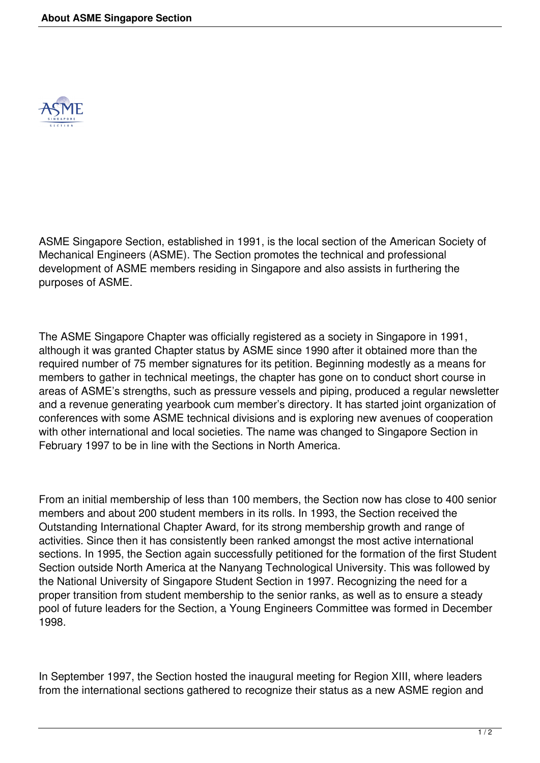

ASME Singapore Section, established in 1991, is the local section of the American Society of Mechanical Engineers (ASME). The Section promotes the technical and professional development of ASME members residing in Singapore and also assists in furthering the purposes of ASME.

The ASME Singapore Chapter was officially registered as a society in Singapore in 1991, although it was granted Chapter status by ASME since 1990 after it obtained more than the required number of 75 member signatures for its petition. Beginning modestly as a means for members to gather in technical meetings, the chapter has gone on to conduct short course in areas of ASME's strengths, such as pressure vessels and piping, produced a regular newsletter and a revenue generating yearbook cum member's directory. It has started joint organization of conferences with some ASME technical divisions and is exploring new avenues of cooperation with other international and local societies. The name was changed to Singapore Section in February 1997 to be in line with the Sections in North America.

From an initial membership of less than 100 members, the Section now has close to 400 senior members and about 200 student members in its rolls. In 1993, the Section received the Outstanding International Chapter Award, for its strong membership growth and range of activities. Since then it has consistently been ranked amongst the most active international sections. In 1995, the Section again successfully petitioned for the formation of the first Student Section outside North America at the Nanyang Technological University. This was followed by the National University of Singapore Student Section in 1997. Recognizing the need for a proper transition from student membership to the senior ranks, as well as to ensure a steady pool of future leaders for the Section, a Young Engineers Committee was formed in December 1998.

In September 1997, the Section hosted the inaugural meeting for Region XIII, where leaders from the international sections gathered to recognize their status as a new ASME region and